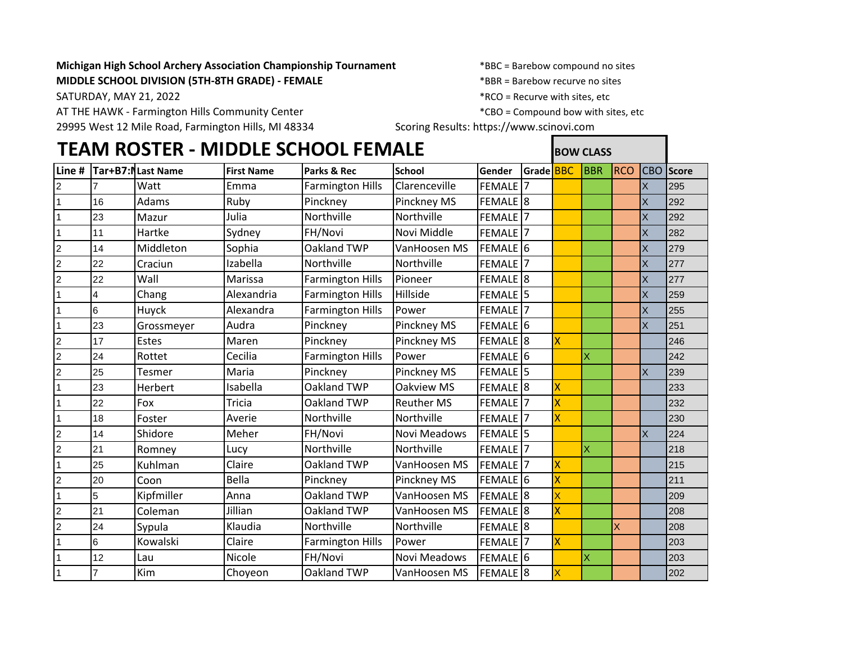## **Michigan High School Archery Association Championship Tournament** \*BBC = Barebow compound no sites **MIDDLE SCHOOL DIVISION (5TH-8TH GRADE) - FEMALE**  $*BBR = Barebow$  recurve no sites

AT THE HAWK - Farmington Hills Community Center \* \* \* \* \* \* \* \* \* \* \* \* CBO = Compound bow with sites, etc

29995 West 12 Mile Road, Farmington Hills, MI 48334 Scoring Results: https://www.scinovi.com

SATURDAY, MAY 21, 2022 **Example 2018**  $\star$ RCO = Recurve with sites, etc

## **TEAM ROSTER - MIDDLE SCHOOL FEMALE BOW CLASS Line # Tar+B7:M55get # Last Name First Name Parks & Rec School Gender Grade** BBC BBR RCO CBO **Score** 2 7 Watt Emma Farmington Hills Clarenceville FEMALE 7 X 295 1 16 Adams Ruby Pinckney Pinckney MS FEMALE 8 X 292 1 |23 |Mazur |Julia |Northville |Northville |FEMALE |7 || || || ||X |292 1 |11 |Hartke |Sydney |FH/Novi |Novi Middle |FEMALE |7 || || || || || || || || || 2 14 Middleton Sophia Oakland TWP VanHoosen MS FEMALE 6 X 279 2 |22 |Craciun |Izabella |Northville |Northville |FEMALE |7 | | | | |X |277 2 22 Wall Marissa Farmington Hills Pioneer FEMALE 8 X 277 1 4 Chang Alexandria Farmington Hills Hillside FEMALE 5 X 259 16 Huyck Alexandra Farmington Hills Power FEMALE 7 1 | X 255 1 23 Grossmeyer Audra Pinckney Pinckney PS FEMALE 6 1 | X 251 2 |17 |Estes | Maren |Pinckney |Pinckney MS |FEMALE 8 | <mark>X | | |</mark> | |246 2 24 Rottet Cecilia Farmington Hills Power FEMALE 6 X 242 2 25 Tesmer Maria Pinckney Pinckney MS FEMALE 5 X 239 1 |23 |Herbert |Isabella |Oakland TWP |Oakview MS |FEMALE |8 <mark>X | | |</mark> |233 1 |22 |Fox |Tricia |Oakland TWP |Reuther MS |FEMALE |7 |<mark>X | |</mark> |232 1 |18 |Foster |Averie |Northville |Northville |FEMALE |7 <mark>X | | |</mark> |230 2 14 Shidore Meher FH/Novi Novi Meadows FEMALE 5 X 224 2 21 |Romney |Lucy |Northville |Northville |FEMALE |7 | <mark>X | |</mark> |218 1 25 Kuhlman Claire Oakland TWP VanHoosen MS FEMALE 7 X 215 2 |20 |Coon |Bella |Pinckney |Pinckney MS |FEMALE |6 <mark>X | |</mark> |211 1 5 Kipfmiller Anna Oakland TWP VanHoosen MS FEMALE 8 X 209 2 |21 |Coleman |Jillian |Oakland TWP |VanHoosen MS |FEMALE |8 <mark>X | | |</mark> |208 2 |24 |Sypula |Klaudia |Northville |Northville |FEMALE 8 || || ||X || ||208 1 6 Kowalski Claire Farmington Hills Power FEMALE 7 X 203 1 |12 |Lau |Nicole |FH/Novi |Novi Meadows |FEMALE |6 | X | | |203 1 7 Kim Choyeon Oakland TWP VanHoosen MS FEMALE 8 X 202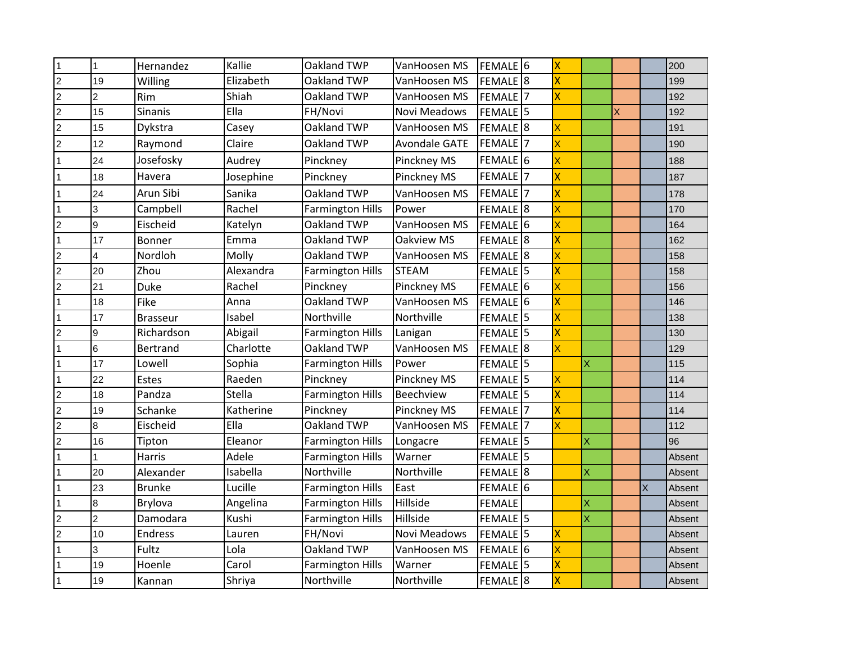| $\overline{1}$ | $\overline{1}$ | Hernandez       | Kallie    | Oakland TWP             | VanHoosen MS         | FEMALE <sup>6</sup>   | İΧ                      |   |   |   | 200    |
|----------------|----------------|-----------------|-----------|-------------------------|----------------------|-----------------------|-------------------------|---|---|---|--------|
| $\overline{2}$ | 19             | Willing         | Elizabeth | Oakland TWP             | VanHoosen MS         | FEMALE <sup>8</sup>   | X                       |   |   |   | 199    |
| $\overline{2}$ | $\overline{2}$ | Rim             | Shiah     | Oakland TWP             | VanHoosen MS         | FEMALE <sup>1</sup> 7 | X                       |   |   |   | 192    |
| $\overline{2}$ | 15             | Sinanis         | Ella      | FH/Novi                 | Novi Meadows         | FEMALE <sup>15</sup>  |                         |   | Χ |   | 192    |
| $\overline{2}$ | 15             | Dykstra         | Casey     | Oakland TWP             | VanHoosen MS         | <b>FEMALE</b> 8       | X                       |   |   |   | 191    |
| $\overline{2}$ | 12             | Raymond         | Claire    | Oakland TWP             | <b>Avondale GATE</b> | FEMALE <sup>1</sup> 7 | X                       |   |   |   | 190    |
|                | 24             | Josefosky       | Audrey    | Pinckney                | Pinckney MS          | FEMALE <sub>16</sub>  | X                       |   |   |   | 188    |
| $\vert$ 1      | 18             | Havera          | Josephine | Pinckney                | Pinckney MS          | FEMALE <sup>17</sup>  | X                       |   |   |   | 187    |
|                | 24             | Arun Sibi       | Sanika    | Oakland TWP             | VanHoosen MS         | FEMALE <sub>7</sub>   | X                       |   |   |   | 178    |
|                | 3              | Campbell        | Rachel    | <b>Farmington Hills</b> | Power                | FEMALE <sup>18</sup>  | X                       |   |   |   | 170    |
| $\overline{2}$ | 9              | Eischeid        | Katelyn   | Oakland TWP             | VanHoosen MS         | FEMALE <sup>16</sup>  | X                       |   |   |   | 164    |
| $\vert$ 1      | 17             | Bonner          | Emma      | Oakland TWP             | Oakview MS           | FEMALE <sup>18</sup>  | X                       |   |   |   | 162    |
| $\overline{2}$ | 4              | Nordloh         | Molly     | Oakland TWP             | VanHoosen MS         | <b>FEMALE</b> 8       | X                       |   |   |   | 158    |
| $\overline{2}$ | 20             | Zhou            | Alexandra | <b>Farmington Hills</b> | <b>STEAM</b>         | FEMALE <sup>15</sup>  | x                       |   |   |   | 158    |
| $\overline{c}$ | 21             | <b>Duke</b>     | Rachel    | Pinckney                | Pinckney MS          | FEMALE <sup>16</sup>  | X                       |   |   |   | 156    |
| $\vert$ 1      | 18             | Fike            | Anna      | Oakland TWP             | VanHoosen MS         | FEMALE <sup>16</sup>  | X                       |   |   |   | 146    |
| $\overline{1}$ | 17             | <b>Brasseur</b> | Isabel    | Northville              | Northville           | FEMALE <sup>15</sup>  | X                       |   |   |   | 138    |
| $\overline{c}$ | 9              | Richardson      | Abigail   | <b>Farmington Hills</b> | Lanigan              | FEMALE <sup>15</sup>  | x                       |   |   |   | 130    |
| $\overline{1}$ | $\,6$          | <b>Bertrand</b> | Charlotte | Oakland TWP             | VanHoosen MS         | <b>FEMALE</b> 8       | X                       |   |   |   | 129    |
|                | 17             | Lowell          | Sophia    | <b>Farmington Hills</b> | Power                | FEMALE <sup>15</sup>  |                         | X |   |   | 115    |
| $\vert$ 1      | 22             | Estes           | Raeden    | Pinckney                | Pinckney MS          | FEMALE <sup>15</sup>  | Χ                       |   |   |   | 114    |
| $\overline{2}$ | 18             | Pandza          | Stella    | <b>Farmington Hills</b> | <b>Beechview</b>     | FEMALE <sup>15</sup>  | $\overline{\mathsf{x}}$ |   |   |   | 114    |
| $\overline{c}$ | 19             | Schanke         | Katherine | Pinckney                | Pinckney MS          | FEMALE <sup>17</sup>  | X                       |   |   |   | 114    |
| $\overline{2}$ | 8              | Eischeid        | Ella      | Oakland TWP             | VanHoosen MS         | FEMALE <sup>17</sup>  |                         |   |   |   | 112    |
| $\overline{c}$ | 16             | Tipton          | Eleanor   | <b>Farmington Hills</b> | Longacre             | FEMALE <sup>15</sup>  |                         | X |   |   | 96     |
|                |                | Harris          | Adele     | <b>Farmington Hills</b> | Warner               | FEMALE <sup>15</sup>  |                         |   |   |   | Absent |
|                | 20             | Alexander       | Isabella  | Northville              | Northville           | FEMALE <sup>18</sup>  |                         | X |   |   | Absent |
|                | 23             | <b>Brunke</b>   | Lucille   | <b>Farmington Hills</b> | East                 | FEMALE <sup>16</sup>  |                         |   |   | X | Absent |
|                | 8              | Brylova         | Angelina  | <b>Farmington Hills</b> | Hillside             | <b>FEMALE</b>         |                         | X |   |   | Absent |
| $\overline{2}$ | $\overline{2}$ | Damodara        | Kushi     | <b>Farmington Hills</b> | Hillside             | FEMALE <sup>15</sup>  |                         | X |   |   | Absent |
| $\overline{c}$ | 10             | <b>Endress</b>  | Lauren    | FH/Novi                 | <b>Novi Meadows</b>  | FEMALE <sup>15</sup>  | X                       |   |   |   | Absent |
|                | 3              | Fultz           | Lola      | Oakland TWP             | VanHoosen MS         | FEMALE <sup>16</sup>  | X                       |   |   |   | Absent |
|                | 19             | Hoenle          | Carol     | <b>Farmington Hills</b> | Warner               | FEMALE <sup>15</sup>  | $\overline{\mathsf{x}}$ |   |   |   | Absent |
| $\overline{1}$ | 19             | Kannan          | Shriya    | Northville              | Northville           | FEMALE <sup>8</sup>   | X                       |   |   |   | Absent |
|                |                |                 |           |                         |                      |                       |                         |   |   |   |        |